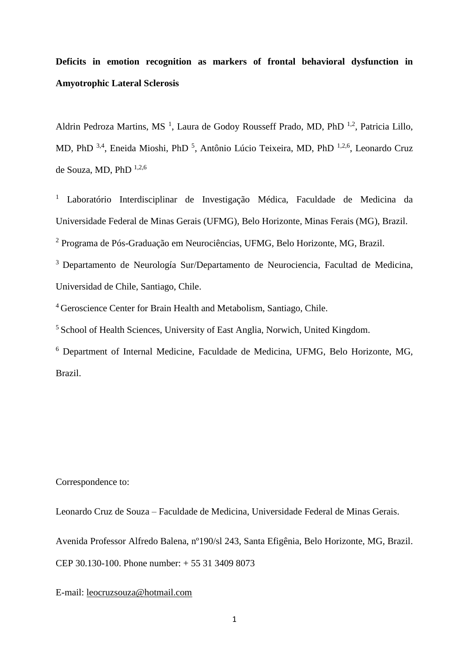# **Deficits in emotion recognition as markers of frontal behavioral dysfunction in Amyotrophic Lateral Sclerosis**

Aldrin Pedroza Martins, MS<sup>1</sup>, Laura de Godoy Rousseff Prado, MD, PhD<sup>1,2</sup>, Patricia Lillo, MD, PhD<sup>3,4</sup>, Eneida Mioshi, PhD<sup>5</sup>, Antônio Lúcio Teixeira, MD, PhD<sup>1,2,6</sup>, Leonardo Cruz de Souza, MD, PhD 1,2,6

<sup>1</sup> Laboratório Interdisciplinar de Investigação Médica, Faculdade de Medicina da Universidade Federal de Minas Gerais (UFMG), Belo Horizonte, Minas Ferais (MG), Brazil.

<sup>2</sup> Programa de Pós-Graduação em Neurociências, UFMG, Belo Horizonte, MG, Brazil.

<sup>3</sup> Departamento de Neurología Sur/Departamento de Neurociencia, Facultad de Medicina, Universidad de Chile, Santiago, Chile.

<sup>4</sup> Geroscience Center for Brain Health and Metabolism, Santiago, Chile.

<sup>5</sup> School of Health Sciences, University of East Anglia, Norwich, United Kingdom.

<sup>6</sup> Department of Internal Medicine, Faculdade de Medicina, UFMG, Belo Horizonte, MG, Brazil.

Correspondence to:

Leonardo Cruz de Souza – Faculdade de Medicina, Universidade Federal de Minas Gerais.

Avenida Professor Alfredo Balena, nº190/sl 243, Santa Efigênia, Belo Horizonte, MG, Brazil.

CEP 30.130-100. Phone number: + 55 31 3409 8073

E-mail: [leocruzsouza@hotmail.com](mailto:leocruzsouza@hotmail.com)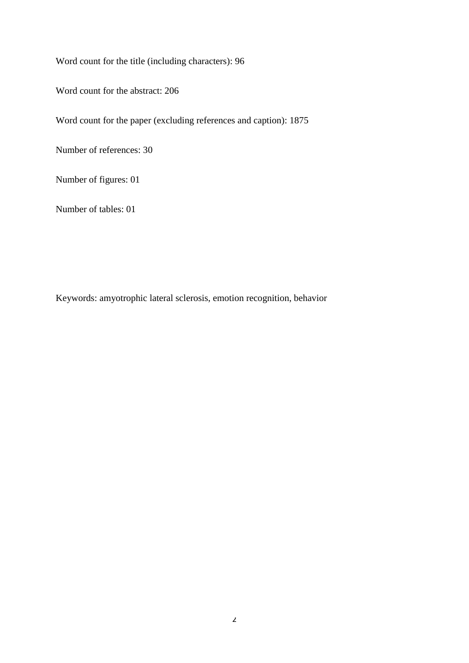Word count for the title (including characters): 96

Word count for the abstract: 206

Word count for the paper (excluding references and caption): 1875

Number of references: 30

Number of figures: 01

Number of tables: 01

Keywords: amyotrophic lateral sclerosis, emotion recognition, behavior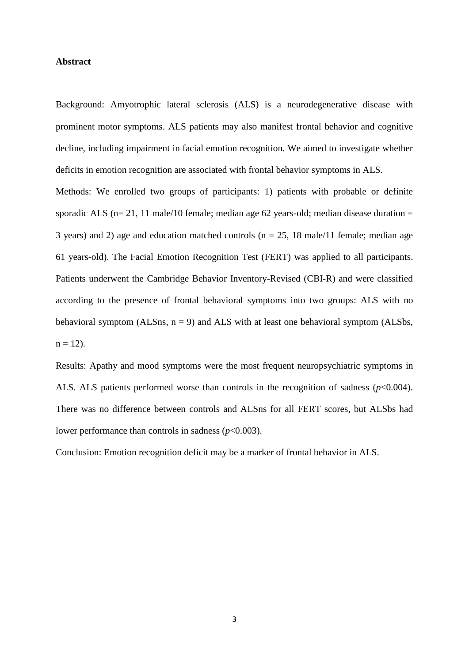## **Abstract**

Background: Amyotrophic lateral sclerosis (ALS) is a neurodegenerative disease with prominent motor symptoms. ALS patients may also manifest frontal behavior and cognitive decline, including impairment in facial emotion recognition. We aimed to investigate whether deficits in emotion recognition are associated with frontal behavior symptoms in ALS.

Methods: We enrolled two groups of participants: 1) patients with probable or definite sporadic ALS ( $n= 21$ , 11 male/10 female; median age 62 years-old; median disease duration = 3 years) and 2) age and education matched controls ( $n = 25$ , 18 male/11 female; median age 61 years-old). The Facial Emotion Recognition Test (FERT) was applied to all participants. Patients underwent the Cambridge Behavior Inventory-Revised (CBI-R) and were classified according to the presence of frontal behavioral symptoms into two groups: ALS with no behavioral symptom (ALSns,  $n = 9$ ) and ALS with at least one behavioral symptom (ALSbs,  $n = 12$ ).

Results: Apathy and mood symptoms were the most frequent neuropsychiatric symptoms in ALS. ALS patients performed worse than controls in the recognition of sadness (*p*<0.004). There was no difference between controls and ALSns for all FERT scores, but ALSbs had lower performance than controls in sadness (*p*<0.003).

Conclusion: Emotion recognition deficit may be a marker of frontal behavior in ALS.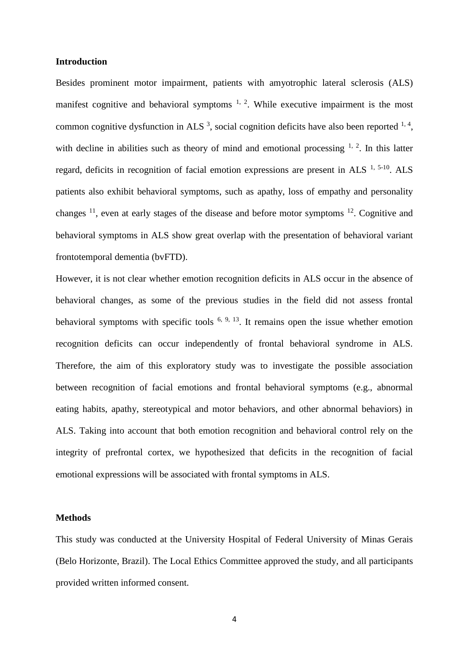## **Introduction**

Besides prominent motor impairment, patients with amyotrophic lateral sclerosis (ALS) manifest cognitive and behavioral symptoms  $1, 2$  $1, 2$ . While executive impairment is the most common cognitive dysfunction in ALS<sup>[3](#page-11-2)</sup>, social cognition deficits have also been reported  $1, 4$  $1, 4$ , with decline in abilities such as theory of mind and emotional processing  $1, 2$  $1, 2$ . In this latter regard, deficits in recognition of facial emotion expressions are present in ALS  $<sup>1, 5-10</sup>$  $<sup>1, 5-10</sup>$  $<sup>1, 5-10</sup>$  $<sup>1, 5-10</sup>$ . ALS</sup> patients also exhibit behavioral symptoms, such as apathy, loss of empathy and personality changes  $^{11}$  $^{11}$  $^{11}$ , even at early stages of the disease and before motor symptoms  $^{12}$  $^{12}$  $^{12}$ . Cognitive and behavioral symptoms in ALS show great overlap with the presentation of behavioral variant frontotemporal dementia (bvFTD).

However, it is not clear whether emotion recognition deficits in ALS occur in the absence of behavioral changes, as some of the previous studies in the field did not assess frontal behavioral symptoms with specific tools  $6, 9, 13$  $6, 9, 13$  $6, 9, 13$ . It remains open the issue whether emotion recognition deficits can occur independently of frontal behavioral syndrome in ALS. Therefore, the aim of this exploratory study was to investigate the possible association between recognition of facial emotions and frontal behavioral symptoms (e.g., abnormal eating habits, apathy, stereotypical and motor behaviors, and other abnormal behaviors) in ALS. Taking into account that both emotion recognition and behavioral control rely on the integrity of prefrontal cortex, we hypothesized that deficits in the recognition of facial emotional expressions will be associated with frontal symptoms in ALS.

## **Methods**

This study was conducted at the University Hospital of Federal University of Minas Gerais (Belo Horizonte, Brazil). The Local Ethics Committee approved the study, and all participants provided written informed consent.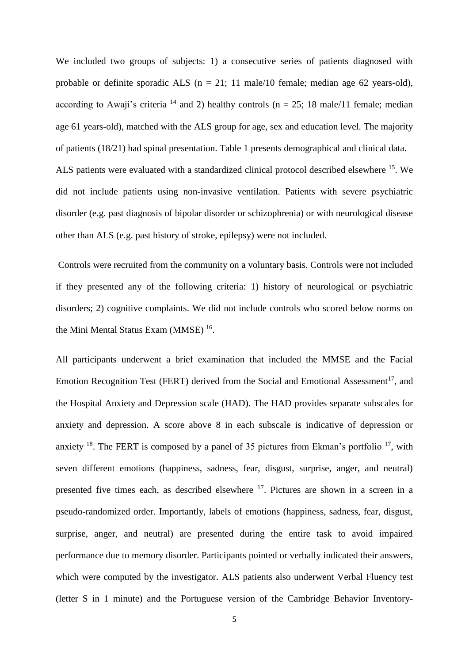We included two groups of subjects: 1) a consecutive series of patients diagnosed with probable or definite sporadic ALS ( $n = 21$ ; 11 male/10 female; median age 62 years-old), according to Awaji's criteria <sup>[14](#page-11-10)</sup> and 2) healthy controls ( $n = 25$ ; 18 male/11 female; median age 61 years-old), matched with the ALS group for age, sex and education level. The majority of patients (18/21) had spinal presentation. Table 1 presents demographical and clinical data. ALS patients were evaluated with a standardized clinical protocol described elsewhere <sup>[15](#page-11-11)</sup>. We did not include patients using non-invasive ventilation. Patients with severe psychiatric disorder (e.g. past diagnosis of bipolar disorder or schizophrenia) or with neurological disease other than ALS (e.g. past history of stroke, epilepsy) were not included.

Controls were recruited from the community on a voluntary basis. Controls were not included if they presented any of the following criteria: 1) history of neurological or psychiatric disorders; 2) cognitive complaints. We did not include controls who scored below norms on the Mini Mental Status Exam (MMSE)<sup>[16](#page-11-12)</sup>.

All participants underwent a brief examination that included the MMSE and the Facial Emotion Recognition Test (FERT) derived from the Social and Emotional Assessment<sup>[17](#page-11-13)</sup>, and the Hospital Anxiety and Depression scale (HAD). The HAD provides separate subscales for anxiety and depression. A score above 8 in each subscale is indicative of depression or anxiety  $^{18}$  $^{18}$  $^{18}$ . The FERT is composed by a panel of 35 pictures from Ekman's portfolio  $^{17}$  $^{17}$  $^{17}$ , with seven different emotions (happiness, sadness, fear, disgust, surprise, anger, and neutral) presented five times each, as described elsewhere [17](#page-11-13). Pictures are shown in a screen in a pseudo-randomized order. Importantly, labels of emotions (happiness, sadness, fear, disgust, surprise, anger, and neutral) are presented during the entire task to avoid impaired performance due to memory disorder. Participants pointed or verbally indicated their answers, which were computed by the investigator. ALS patients also underwent Verbal Fluency test (letter S in 1 minute) and the Portuguese version of the Cambridge Behavior Inventory-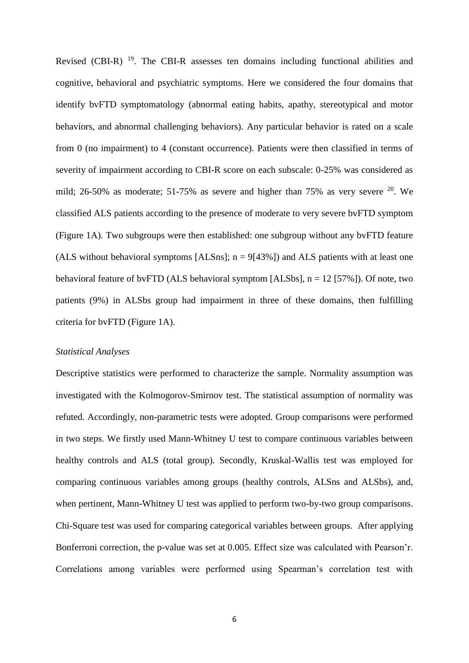Revised (CBI-R)<sup>[19](#page-12-1)</sup>. The CBI-R assesses ten domains including functional abilities and cognitive, behavioral and psychiatric symptoms. Here we considered the four domains that identify bvFTD symptomatology (abnormal eating habits, apathy, stereotypical and motor behaviors, and abnormal challenging behaviors). Any particular behavior is rated on a scale from 0 (no impairment) to 4 (constant occurrence). Patients were then classified in terms of severity of impairment according to CBI-R score on each subscale: 0-25% was considered as mild; 26-50% as moderate; 51-75% as severe and higher than 75% as very severe  $20$ . We classified ALS patients according to the presence of moderate to very severe bvFTD symptom (Figure 1A). Two subgroups were then established: one subgroup without any bvFTD feature (ALS without behavioral symptoms [ALSns];  $n = 9[43\%]$  and ALS patients with at least one behavioral feature of bvFTD (ALS behavioral symptom [ALSbs], n = 12 [57%]). Of note, two patients (9%) in ALSbs group had impairment in three of these domains, then fulfilling criteria for bvFTD (Figure 1A).

#### *Statistical Analyses*

Descriptive statistics were performed to characterize the sample. Normality assumption was investigated with the Kolmogorov-Smirnov test. The statistical assumption of normality was refuted. Accordingly, non-parametric tests were adopted. Group comparisons were performed in two steps. We firstly used Mann-Whitney U test to compare continuous variables between healthy controls and ALS (total group). Secondly, Kruskal-Wallis test was employed for comparing continuous variables among groups (healthy controls, ALSns and ALSbs), and, when pertinent, Mann-Whitney U test was applied to perform two-by-two group comparisons. Chi-Square test was used for comparing categorical variables between groups. After applying Bonferroni correction, the p-value was set at 0.005. Effect size was calculated with Pearson'r. Correlations among variables were performed using Spearman's correlation test with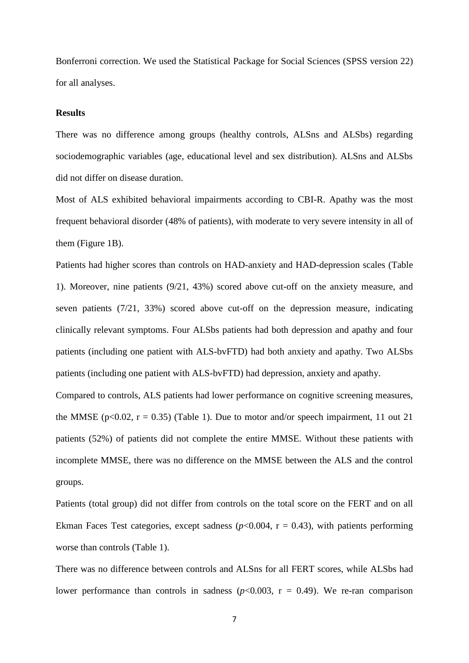Bonferroni correction. We used the Statistical Package for Social Sciences (SPSS version 22) for all analyses.

#### **Results**

There was no difference among groups (healthy controls, ALSns and ALSbs) regarding sociodemographic variables (age, educational level and sex distribution). ALSns and ALSbs did not differ on disease duration.

Most of ALS exhibited behavioral impairments according to CBI-R. Apathy was the most frequent behavioral disorder (48% of patients), with moderate to very severe intensity in all of them (Figure 1B).

Patients had higher scores than controls on HAD-anxiety and HAD-depression scales (Table 1). Moreover, nine patients (9/21, 43%) scored above cut-off on the anxiety measure, and seven patients (7/21, 33%) scored above cut-off on the depression measure, indicating clinically relevant symptoms. Four ALSbs patients had both depression and apathy and four patients (including one patient with ALS-bvFTD) had both anxiety and apathy. Two ALSbs patients (including one patient with ALS-bvFTD) had depression, anxiety and apathy.

Compared to controls, ALS patients had lower performance on cognitive screening measures, the MMSE ( $p<0.02$ ,  $r = 0.35$ ) (Table 1). Due to motor and/or speech impairment, 11 out 21 patients (52%) of patients did not complete the entire MMSE. Without these patients with incomplete MMSE, there was no difference on the MMSE between the ALS and the control groups.

Patients (total group) did not differ from controls on the total score on the FERT and on all Ekman Faces Test categories, except sadness  $(p<0.004, r = 0.43)$ , with patients performing worse than controls (Table 1).

There was no difference between controls and ALSns for all FERT scores, while ALSbs had lower performance than controls in sadness ( $p<0.003$ ,  $r = 0.49$ ). We re-ran comparison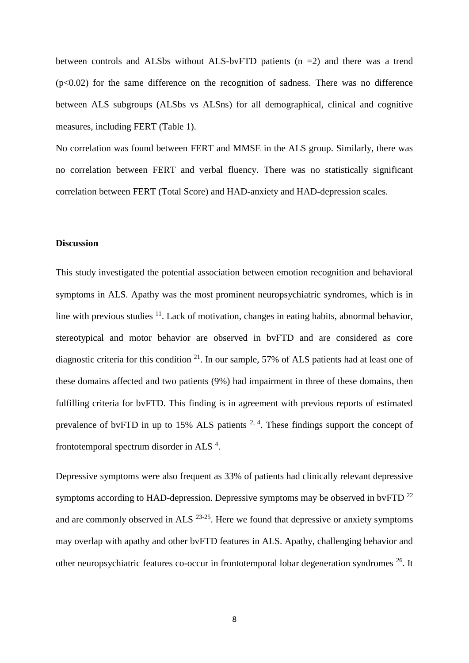between controls and ALSbs without ALS-bvFTD patients  $(n = 2)$  and there was a trend  $(p<0.02)$  for the same difference on the recognition of sadness. There was no difference between ALS subgroups (ALSbs vs ALSns) for all demographical, clinical and cognitive measures, including FERT (Table 1).

No correlation was found between FERT and MMSE in the ALS group. Similarly, there was no correlation between FERT and verbal fluency. There was no statistically significant correlation between FERT (Total Score) and HAD-anxiety and HAD-depression scales.

## **Discussion**

This study investigated the potential association between emotion recognition and behavioral symptoms in ALS. Apathy was the most prominent neuropsychiatric syndromes, which is in line with previous studies  $11$ . Lack of motivation, changes in eating habits, abnormal behavior, stereotypical and motor behavior are observed in bvFTD and are considered as core diagnostic criteria for this condition  $2<sup>1</sup>$ . In our sample, 57% of ALS patients had at least one of these domains affected and two patients (9%) had impairment in three of these domains, then fulfilling criteria for bvFTD. This finding is in agreement with previous reports of estimated prevalence of bvFTD in up to 15% ALS patients  $2, 4$  $2, 4$ . These findings support the concept of frontotemporal spectrum disorder in ALS  $4$ .

Depressive symptoms were also frequent as 33% of patients had clinically relevant depressive symptoms according to HAD-depression. Depressive symptoms may be observed in bvFTD  $^{22}$  $^{22}$  $^{22}$ and are commonly observed in  $ALS$   $^{23-25}$  $^{23-25}$  $^{23-25}$ . Here we found that depressive or anxiety symptoms may overlap with apathy and other bvFTD features in ALS. Apathy, challenging behavior and other neuropsychiatric features co-occur in frontotemporal lobar degeneration syndromes [26](#page-12-6). It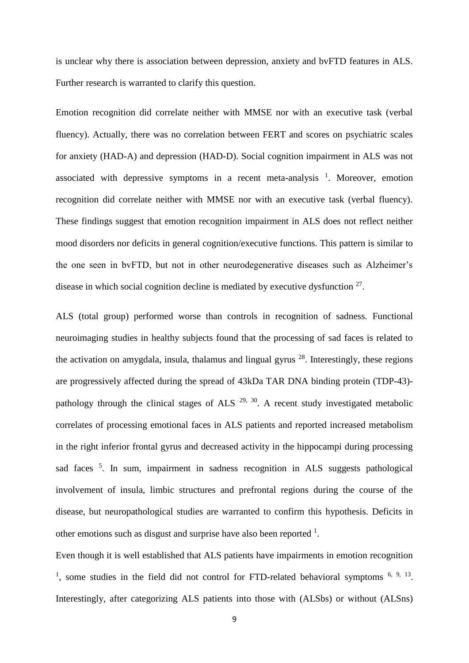is unclear why there is association between depression, anxiety and bvFTD features in ALS. Further research is warranted to clarify this question.

Emotion recognition did correlate neither with MMSE nor with an executive task (verbal fluency). Actually, there was no correlation between FERT and scores on psychiatric scales for anxiety (HAD-A) and depression (HAD-D). Social cognition impairment in ALS was not associated with depressive symptoms in a recent meta-analysis  $1$ . Moreover, emotion recognition did correlate neither with MMSE nor with an executive task (verbal fluency). These findings suggest that emotion recognition impairment in ALS does not reflect neither mood disorders nor deficits in general cognition/executive functions. This pattern is similar to the one seen in bvFTD, but not in other neurodegenerative diseases such as Alzheimer's disease in which social cognition decline is mediated by executive dysfunction  $27$ .

ALS (total group) performed worse than controls in recognition of sadness. Functional neuroimaging studies in healthy subjects found that the processing of sad faces is related to the activation on amygdala, insula, thalamus and lingual gyrus  $^{28}$  $^{28}$  $^{28}$ . Interestingly, these regions are progressively affected during the spread of 43kDa TAR DNA binding protein (TDP-43) pathology through the clinical stages of ALS  $^{29, 30}$  $^{29, 30}$  $^{29, 30}$  $^{29, 30}$ . A recent study investigated metabolic correlates of processing emotional faces in ALS patients and reported increased metabolism in the right inferior frontal gyrus and decreased activity in the hippocampi during processing sad faces <sup>[5](#page-11-4)</sup>. In sum, impairment in sadness recognition in ALS suggests pathological involvement of insula, limbic structures and prefrontal regions during the course of the disease, but neuropathological studies are warranted to confirm this hypothesis. Deficits in other emotions such as disgust and surprise have also been reported  $<sup>1</sup>$  $<sup>1</sup>$  $<sup>1</sup>$ .</sup>

Even though it is well established that ALS patients have impairments in emotion recognition <sup>[1](#page-11-0)</sup>, some studies in the field did not control for FTD-related behavioral symptoms  $6, 9, 13$  $6, 9, 13$  $6, 9, 13$ . Interestingly, after categorizing ALS patients into those with (ALSbs) or without (ALSns)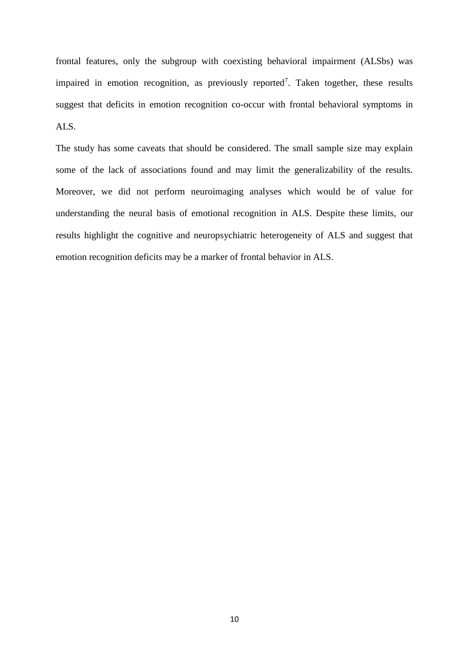frontal features, only the subgroup with coexisting behavioral impairment (ALSbs) was impaired in emotion recognition, as previously reported<sup>[7](#page-11-14)</sup>. Taken together, these results suggest that deficits in emotion recognition co-occur with frontal behavioral symptoms in ALS.

The study has some caveats that should be considered. The small sample size may explain some of the lack of associations found and may limit the generalizability of the results. Moreover, we did not perform neuroimaging analyses which would be of value for understanding the neural basis of emotional recognition in ALS. Despite these limits, our results highlight the cognitive and neuropsychiatric heterogeneity of ALS and suggest that emotion recognition deficits may be a marker of frontal behavior in ALS.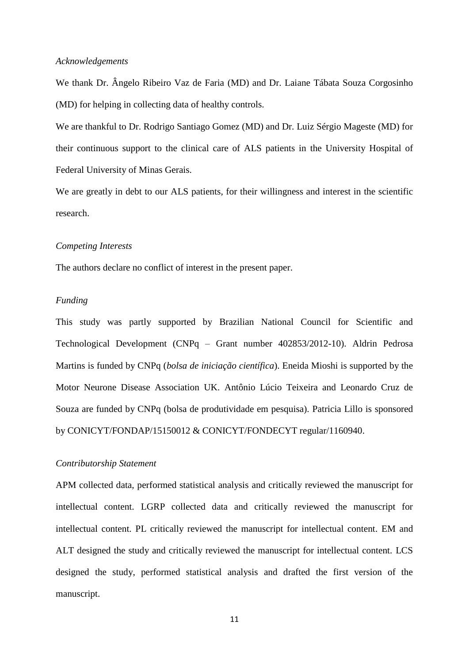#### *Acknowledgements*

We thank Dr. Ângelo Ribeiro Vaz de Faria (MD) and Dr. Laiane Tábata Souza Corgosinho (MD) for helping in collecting data of healthy controls.

We are thankful to Dr. Rodrigo Santiago Gomez (MD) and Dr. Luiz Sérgio Mageste (MD) for their continuous support to the clinical care of ALS patients in the University Hospital of Federal University of Minas Gerais.

We are greatly in debt to our ALS patients, for their willingness and interest in the scientific research.

## *Competing Interests*

The authors declare no conflict of interest in the present paper.

## *Funding*

This study was partly supported by Brazilian National Council for Scientific and Technological Development (CNPq – Grant number 402853/2012-10). Aldrin Pedrosa Martins is funded by CNPq (*bolsa de iniciação científica*). Eneida Mioshi is supported by the Motor Neurone Disease Association UK. Antônio Lúcio Teixeira and Leonardo Cruz de Souza are funded by CNPq (bolsa de produtividade em pesquisa). Patricia Lillo is sponsored by CONICYT/FONDAP/15150012 & CONICYT/FONDECYT regular/1160940.

#### *Contributorship Statement*

APM collected data, performed statistical analysis and critically reviewed the manuscript for intellectual content. LGRP collected data and critically reviewed the manuscript for intellectual content. PL critically reviewed the manuscript for intellectual content. EM and ALT designed the study and critically reviewed the manuscript for intellectual content. LCS designed the study, performed statistical analysis and drafted the first version of the manuscript.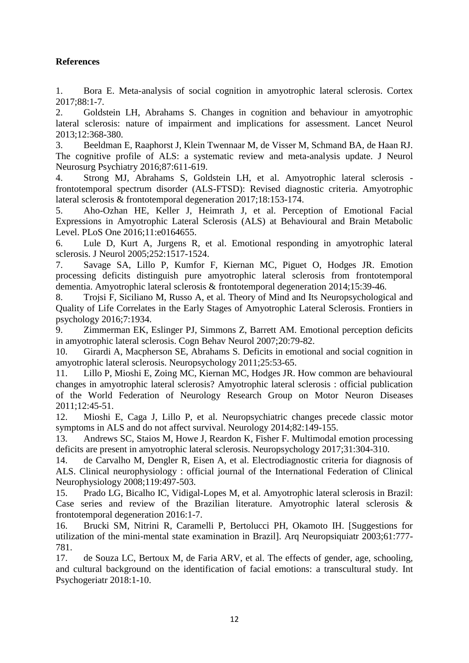## **References**

<span id="page-11-0"></span>1. Bora E. Meta-analysis of social cognition in amyotrophic lateral sclerosis. Cortex 2017;88:1-7.

<span id="page-11-1"></span>2. Goldstein LH, Abrahams S. Changes in cognition and behaviour in amyotrophic lateral sclerosis: nature of impairment and implications for assessment. Lancet Neurol 2013;12:368-380.

<span id="page-11-2"></span>3. Beeldman E, Raaphorst J, Klein Twennaar M, de Visser M, Schmand BA, de Haan RJ. The cognitive profile of ALS: a systematic review and meta-analysis update. J Neurol Neurosurg Psychiatry 2016;87:611-619.

<span id="page-11-3"></span>4. Strong MJ, Abrahams S, Goldstein LH, et al. Amyotrophic lateral sclerosis frontotemporal spectrum disorder (ALS-FTSD): Revised diagnostic criteria. Amyotrophic lateral sclerosis & frontotemporal degeneration 2017;18:153-174.

<span id="page-11-4"></span>5. Aho-Ozhan HE, Keller J, Heimrath J, et al. Perception of Emotional Facial Expressions in Amyotrophic Lateral Sclerosis (ALS) at Behavioural and Brain Metabolic Level. PLoS One 2016;11:e0164655.

<span id="page-11-7"></span>6. Lule D, Kurt A, Jurgens R, et al. Emotional responding in amyotrophic lateral sclerosis. J Neurol 2005;252:1517-1524.

<span id="page-11-14"></span>7. Savage SA, Lillo P, Kumfor F, Kiernan MC, Piguet O, Hodges JR. Emotion processing deficits distinguish pure amyotrophic lateral sclerosis from frontotemporal dementia. Amyotrophic lateral sclerosis & frontotemporal degeneration 2014;15:39-46.

8. Trojsi F, Siciliano M, Russo A, et al. Theory of Mind and Its Neuropsychological and Quality of Life Correlates in the Early Stages of Amyotrophic Lateral Sclerosis. Frontiers in psychology 2016;7:1934.

<span id="page-11-8"></span>9. Zimmerman EK, Eslinger PJ, Simmons Z, Barrett AM. Emotional perception deficits in amyotrophic lateral sclerosis. Cogn Behav Neurol 2007;20:79-82.

10. Girardi A, Macpherson SE, Abrahams S. Deficits in emotional and social cognition in amyotrophic lateral sclerosis. Neuropsychology 2011;25:53-65.

<span id="page-11-5"></span>11. Lillo P, Mioshi E, Zoing MC, Kiernan MC, Hodges JR. How common are behavioural changes in amyotrophic lateral sclerosis? Amyotrophic lateral sclerosis : official publication of the World Federation of Neurology Research Group on Motor Neuron Diseases 2011;12:45-51.

<span id="page-11-6"></span>12. Mioshi E, Caga J, Lillo P, et al. Neuropsychiatric changes precede classic motor symptoms in ALS and do not affect survival. Neurology 2014;82:149-155.

<span id="page-11-9"></span>13. Andrews SC, Staios M, Howe J, Reardon K, Fisher F. Multimodal emotion processing deficits are present in amyotrophic lateral sclerosis. Neuropsychology 2017;31:304-310.

<span id="page-11-10"></span>14. de Carvalho M, Dengler R, Eisen A, et al. Electrodiagnostic criteria for diagnosis of ALS. Clinical neurophysiology : official journal of the International Federation of Clinical Neurophysiology 2008;119:497-503.

<span id="page-11-11"></span>15. Prado LG, Bicalho IC, Vidigal-Lopes M, et al. Amyotrophic lateral sclerosis in Brazil: Case series and review of the Brazilian literature. Amyotrophic lateral sclerosis & frontotemporal degeneration 2016:1-7.

<span id="page-11-12"></span>16. Brucki SM, Nitrini R, Caramelli P, Bertolucci PH, Okamoto IH. [Suggestions for utilization of the mini-mental state examination in Brazil]. Arq Neuropsiquiatr 2003;61:777- 781.

<span id="page-11-13"></span>17. de Souza LC, Bertoux M, de Faria ARV, et al. The effects of gender, age, schooling, and cultural background on the identification of facial emotions: a transcultural study. Int Psychogeriatr 2018:1-10.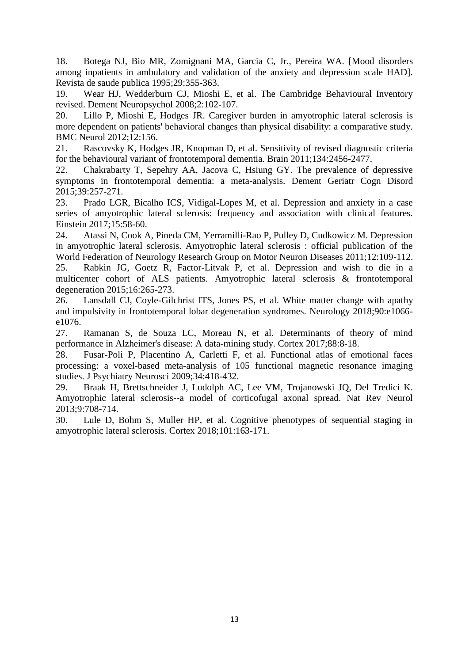<span id="page-12-0"></span>18. Botega NJ, Bio MR, Zomignani MA, Garcia C, Jr., Pereira WA. [Mood disorders among inpatients in ambulatory and validation of the anxiety and depression scale HAD]. Revista de saude publica 1995;29:355-363.

<span id="page-12-1"></span>19. Wear HJ, Wedderburn CJ, Mioshi E, et al. The Cambridge Behavioural Inventory revised. Dement Neuropsychol 2008;2:102-107.

<span id="page-12-2"></span>20. Lillo P, Mioshi E, Hodges JR. Caregiver burden in amyotrophic lateral sclerosis is more dependent on patients' behavioral changes than physical disability: a comparative study. BMC Neurol 2012;12:156.

<span id="page-12-3"></span>21. Rascovsky K, Hodges JR, Knopman D, et al. Sensitivity of revised diagnostic criteria for the behavioural variant of frontotemporal dementia. Brain 2011;134:2456-2477.

<span id="page-12-4"></span>22. Chakrabarty T, Sepehry AA, Jacova C, Hsiung GY. The prevalence of depressive symptoms in frontotemporal dementia: a meta-analysis. Dement Geriatr Cogn Disord 2015;39:257-271.

<span id="page-12-5"></span>23. Prado LGR, Bicalho ICS, Vidigal-Lopes M, et al. Depression and anxiety in a case series of amyotrophic lateral sclerosis: frequency and association with clinical features. Einstein 2017;15:58-60.

24. Atassi N, Cook A, Pineda CM, Yerramilli-Rao P, Pulley D, Cudkowicz M. Depression in amyotrophic lateral sclerosis. Amyotrophic lateral sclerosis : official publication of the World Federation of Neurology Research Group on Motor Neuron Diseases 2011;12:109-112. 25. Rabkin JG, Goetz R, Factor-Litvak P, et al. Depression and wish to die in a

multicenter cohort of ALS patients. Amyotrophic lateral sclerosis & frontotemporal degeneration 2015;16:265-273.

<span id="page-12-6"></span>26. Lansdall CJ, Coyle-Gilchrist ITS, Jones PS, et al. White matter change with apathy and impulsivity in frontotemporal lobar degeneration syndromes. Neurology 2018;90:e1066 e1076.

<span id="page-12-7"></span>27. Ramanan S, de Souza LC, Moreau N, et al. Determinants of theory of mind performance in Alzheimer's disease: A data-mining study. Cortex 2017;88:8-18.

<span id="page-12-8"></span>28. Fusar-Poli P, Placentino A, Carletti F, et al. Functional atlas of emotional faces processing: a voxel-based meta-analysis of 105 functional magnetic resonance imaging studies. J Psychiatry Neurosci 2009;34:418-432.

<span id="page-12-9"></span>29. Braak H, Brettschneider J, Ludolph AC, Lee VM, Trojanowski JQ, Del Tredici K. Amyotrophic lateral sclerosis--a model of corticofugal axonal spread. Nat Rev Neurol 2013;9:708-714.

<span id="page-12-10"></span>30. Lule D, Bohm S, Muller HP, et al. Cognitive phenotypes of sequential staging in amyotrophic lateral sclerosis. Cortex 2018;101:163-171.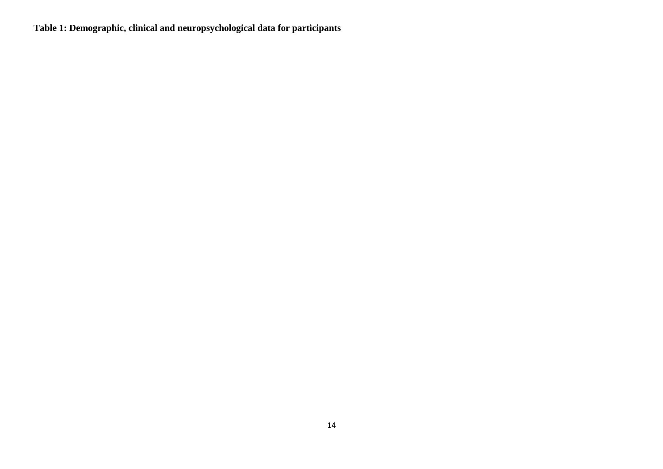**Table 1: Demographic, clinical and neuropsychological data for participants**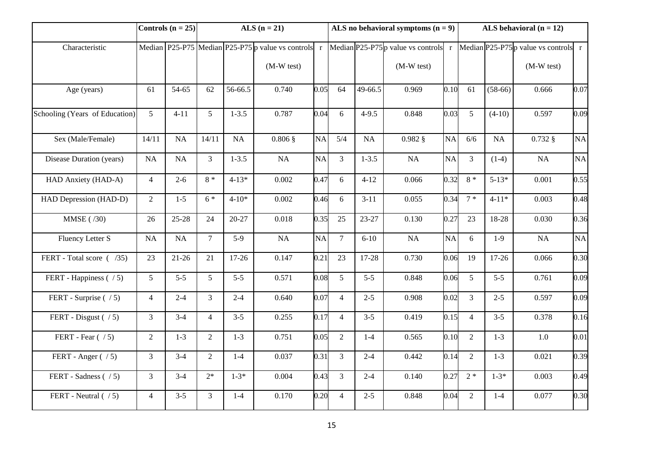|                                | Controls $(n = 25)$ |           | ALS $(n = 21)$ |           |                                                           |           | ALS no behavioral symptoms $(n = 9)$ |           |                                       |           | ALS behavioral $(n = 12)$ |           |                                         |          |
|--------------------------------|---------------------|-----------|----------------|-----------|-----------------------------------------------------------|-----------|--------------------------------------|-----------|---------------------------------------|-----------|---------------------------|-----------|-----------------------------------------|----------|
| Characteristic                 |                     |           |                |           | Median $P25-P75$ Median $P25-P75$ p value vs controls $r$ |           |                                      |           | Median $P25-P75p$ value vs controls r |           |                           |           | Median $P25-P75p$ value vs controls $r$ |          |
|                                |                     |           |                |           | $(M-W test)$                                              |           |                                      |           | $(M-W test)$                          |           |                           |           | $(M-W test)$                            |          |
| Age (years)                    | 61                  | 54-65     | 62             | 56-66.5   | 0.740                                                     | 0.05      | 64                                   | 49-66.5   | 0.969                                 | 0.10      | 61                        | $(58-66)$ | 0.666                                   | 0.07     |
| Schooling (Years of Education) | 5 <sup>5</sup>      | $4 - 11$  | 5              | $1 - 3.5$ | 0.787                                                     | 0.04      | 6                                    | $4-9.5$   | 0.848                                 | 0.03      | $5\overline{)}$           | $(4-10)$  | 0.597                                   | 0.09     |
| Sex (Male/Female)              | 14/11               | NA        | 14/11          | NA        | $0.806$ §                                                 | <b>NA</b> | 5/4                                  | NA        | $0.982$ §                             | <b>NA</b> | 6/6                       | <b>NA</b> | $0.732$ §                               | $\rm NA$ |
| Disease Duration (years)       | NA                  | NA        | $\overline{3}$ | $1 - 3.5$ | NA                                                        | NA        | $\overline{3}$                       | $1 - 3.5$ | NA                                    | NA        | $\overline{3}$            | $(1-4)$   | NA                                      | NA       |
| HAD Anxiety (HAD-A)            | $\overline{4}$      | $2 - 6$   | $8 *$          | $4 - 13*$ | 0.002                                                     | 0.47      | 6                                    | $4 - 12$  | 0.066                                 | 0.32      | $8 *$                     | $5 - 13*$ | 0.001                                   | 0.55     |
| HAD Depression (HAD-D)         | 2                   | $1-5$     | $6*$           | $4 - 10*$ | 0.002                                                     | 0.46      | 6                                    | $3-11$    | 0.055                                 | 0.34      | $7 *$                     | $4 - 11*$ | 0.003                                   | 0.48     |
| MMSE (/30)                     | 26                  | $25 - 28$ | 24             | $20 - 27$ | 0.018                                                     | 0.35      | 25                                   | 23-27     | 0.130                                 | 0.27      | 23                        | 18-28     | 0.030                                   | 0.36     |
| Fluency Letter S               | $\rm NA$            | $\rm NA$  | $\mathcal{I}$  | $5-9$     | $\rm NA$                                                  | NA        | $\overline{7}$                       | $6 - 10$  | $\rm NA$                              | <b>NA</b> | 6                         | $1-9$     | NA                                      | NA       |
| FERT - Total score ( /35)      | 23                  | $21-26$   | 21             | $17 - 26$ | 0.147                                                     | 0.21      | 23                                   | 17-28     | 0.730                                 | 0.06      | 19                        | $17-26$   | 0.066                                   | 0.30     |
| FERT - Happiness ( / 5)        | 5 <sup>5</sup>      | $5 - 5$   | 5              | $5 - 5$   | 0.571                                                     | 0.08      | 5                                    | $5 - 5$   | 0.848                                 | 0.06      | $\mathfrak{S}$            | $5 - 5$   | 0.761                                   | 0.09     |
| FERT - Surprise $( / 5)$       | $\overline{4}$      | $2-4$     | 3              | $2 - 4$   | 0.640                                                     | 0.07      | $\overline{4}$                       | $2 - 5$   | 0.908                                 | 0.02      | 3                         | $2 - 5$   | 0.597                                   | 0.09     |
| FERT - Disgust $( / 5)$        | $\overline{3}$      | $3-4$     | $\overline{4}$ | $3 - 5$   | 0.255                                                     | 0.17      | $\overline{4}$                       | $3 - 5$   | 0.419                                 | 0.15      | $\overline{4}$            | $3 - 5$   | 0.378                                   | 0.16     |
| FERT - Fear $( / 5)$           | $\overline{2}$      | $1-3$     | $\overline{2}$ | $1-3$     | 0.751                                                     | 0.05      | $\overline{2}$                       | $1-4$     | 0.565                                 | 0.10      | $\overline{2}$            | $1 - 3$   | 1.0                                     | 0.01     |
| FERT - Anger ( / 5)            | 3                   | $3 - 4$   | $\overline{2}$ | $1-4$     | 0.037                                                     | 0.31      | $\overline{3}$                       | $2 - 4$   | 0.442                                 | 0.14      | $\overline{2}$            | $1 - 3$   | 0.021                                   | 0.39     |
| FERT - Sadness $( / 5)$        | $\overline{3}$      | $3-4$     | $2*$           | $1 - 3*$  | 0.004                                                     | 0.43      | $\overline{3}$                       | $2 - 4$   | 0.140                                 | 0.27      | $2*$                      | $1 - 3*$  | 0.003                                   | 0.49     |
| FERT - Neutral $( / 5)$        | $\overline{4}$      | $3 - 5$   | 3              | $1 - 4$   | 0.170                                                     | 0.20      | $\overline{4}$                       | $2 - 5$   | 0.848                                 | 0.04      | 2                         | $1-4$     | 0.077                                   | 0.30     |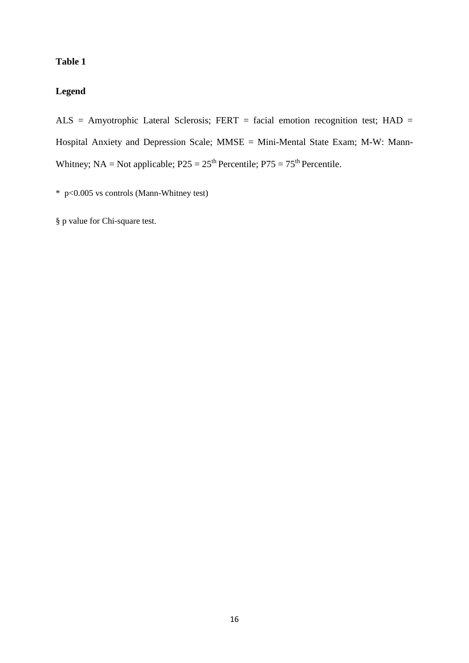# **Table 1**

# **Legend**

ALS = Amyotrophic Lateral Sclerosis; FERT = facial emotion recognition test; HAD = Hospital Anxiety and Depression Scale; MMSE = Mini-Mental State Exam; M-W: Mann-Whitney;  $NA = Not applicable; P25 = 25<sup>th</sup> Percentile; P75 = 75<sup>th</sup> Percentile.$ 

\* p<0.005 vs controls (Mann-Whitney test)

§ p value for Chi-square test.